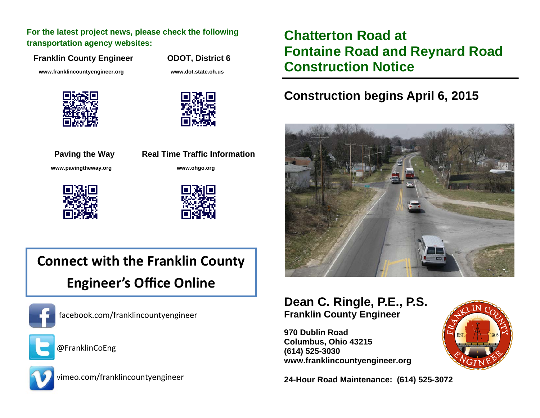**For the latest project news, please check the following transportation agency websites:** 

**Franklin County Engineer ODOT, District 6** 

 **www.franklincountyengineer.org www.dot.state.oh.us** 



**Paving the Way Real Time Traffic Information www.pavingtheway.org www.ohgo.org** 





# **Connect with the Franklin County Engineer's Office Online**



facebook.com/franklincountyengineer



@FranklinCoEng



vimeo.com/franklincountyengineer

## **Chatterton Road at Fontaine Road and Reynard Road Construction Notice**

### **Construction begins April 6, 2015**



#### **Dean C. Ringle, P.E., P.S. Franklin County Engineer**

**970 Dublin Road Columbus, Ohio 43215 (614) 525-3030 www.franklincountyengineer.org** 

**24-Hour Road Maintenance: (614) 525-3072**